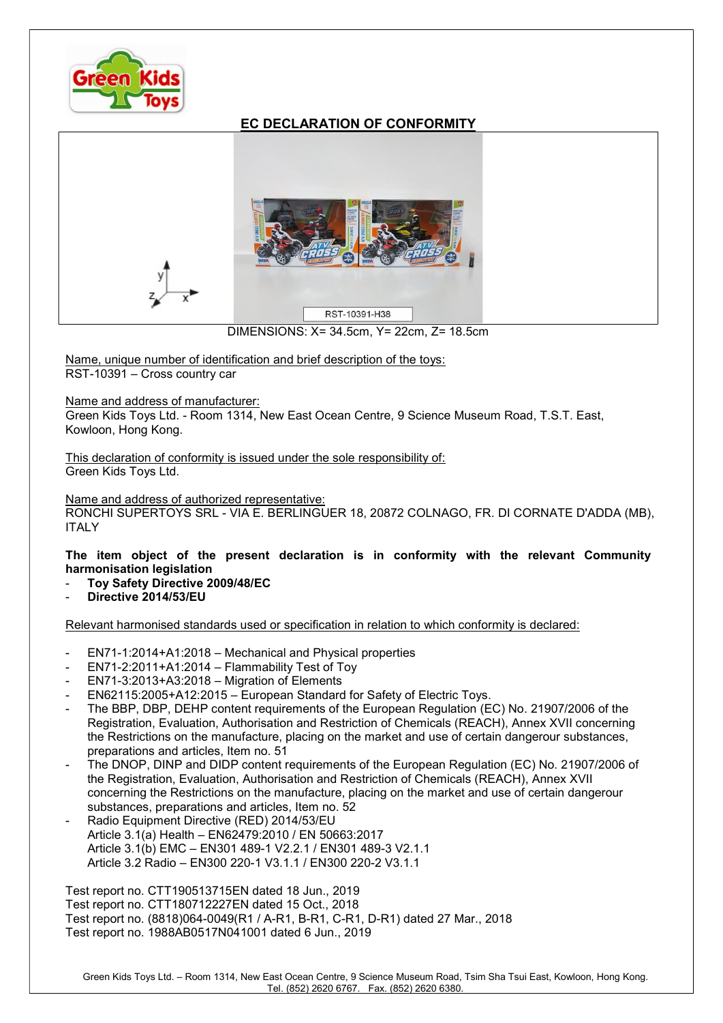

## EC DECLARATION OF CONFORMITY



DIMENSIONS: X= 34.5cm, Y= 22cm, Z= 18.5cm

Name, unique number of identification and brief description of the toys: RST-10391 – Cross country car

Name and address of manufacturer:

Green Kids Toys Ltd. - Room 1314, New East Ocean Centre, 9 Science Museum Road, T.S.T. East, Kowloon, Hong Kong.

This declaration of conformity is issued under the sole responsibility of: Green Kids Toys Ltd.

Name and address of authorized representative:

RONCHI SUPERTOYS SRL - VIA E. BERLINGUER 18, 20872 COLNAGO, FR. DI CORNATE D'ADDA (MB), ITALY

The item object of the present declaration is in conformity with the relevant Community harmonisation legislation

- Toy Safety Directive 2009/48/EC
- Directive 2014/53/EU

Relevant harmonised standards used or specification in relation to which conformity is declared:

- EN71-1:2014+A1:2018 Mechanical and Physical properties
- $EN71-2:2011+A1:2014 Flammability Test of Toy$
- EN71-3:2013+A3:2018 Migration of Elements
- EN62115:2005+A12:2015 European Standard for Safety of Electric Toys.
- The BBP, DBP, DEHP content requirements of the European Regulation (EC) No. 21907/2006 of the Registration, Evaluation, Authorisation and Restriction of Chemicals (REACH), Annex XVII concerning the Restrictions on the manufacture, placing on the market and use of certain dangerour substances, preparations and articles, Item no. 51
- The DNOP, DINP and DIDP content requirements of the European Regulation (EC) No. 21907/2006 of the Registration, Evaluation, Authorisation and Restriction of Chemicals (REACH), Annex XVII concerning the Restrictions on the manufacture, placing on the market and use of certain dangerour substances, preparations and articles, Item no. 52
- Radio Equipment Directive (RED) 2014/53/EU Article 3.1(a) Health – EN62479:2010 / EN 50663:2017 Article 3.1(b) EMC – EN301 489-1 V2.2.1 / EN301 489-3 V2.1.1 Article 3.2 Radio – EN300 220-1 V3.1.1 / EN300 220-2 V3.1.1

Test report no. CTT190513715EN dated 18 Jun., 2019 Test report no. CTT180712227EN dated 15 Oct., 2018 Test report no. (8818)064-0049(R1 / A-R1, B-R1, C-R1, D-R1) dated 27 Mar., 2018 Test report no. 1988AB0517N041001 dated 6 Jun., 2019